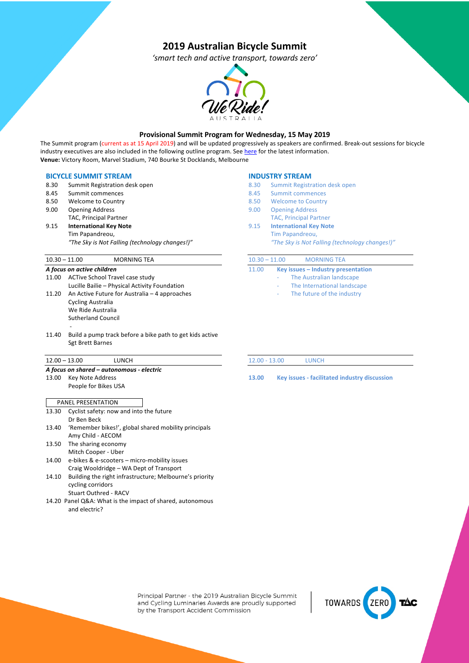# **2019 Australian Bicycle Summit**

*'smart tech and active transport, towards zero'*



## **Provisional Summit Program for Wednesday, 15 May 2019**

The Summit program (current as at 15 April 2019) and will be updated progressively as speakers are confirmed. Break-out sessions for bicycle industry executives are also included in the following outline program. See here for the latest information. **Venue:** Victory Room, Marvel Stadium, 740 Bourke St Docklands, Melbourne

#### **BICYCLE SUMMIT STREAM**

- 8.30 Summit Registration desk open
- 8.45 Summit commences
- 8.50 Welcome to Country
- 9.00 Opening Address
- TAC, Principal Partner
- 9.15 **International Key Note** Tim Papandreou,

*"The Sky is Not Falling (technology changes!)"*

## 10.30 – 11.00 MORNING TEA

#### *A focus on active children*

- 11.00 ACTive School Travel case study Lucille Bailie – Physical Activity Foundation 11.20 An Active Future for Australia – 4 approaches Cycling Australia We Ride Australia Sutherland Council
- 11.40 Build a pump track before a bike path to get kids active Sgt Brett Barnes

#### 12.00 – 13.00 LUNCH

-

### *A focus on shared – autonomous - electric*

13.00 Key Note Address People for Bikes USA

| 13.30 | Cyclist safety: now and into the future                |
|-------|--------------------------------------------------------|
|       | Dr Ben Beck                                            |
| 13.40 | 'Remember bikes!', global shared mobility principals   |
|       | Amy Child - AECOM                                      |
| 13.50 | The sharing economy                                    |
|       | Mitch Cooper - Uber                                    |
| 14.00 | e-bikes & e-scooters - micro-mobility issues           |
|       | Craig Wooldridge – WA Dept of Transport                |
| 1110  | Building the right infractructure: Molhourne's priorit |

14.10 Building the right infrastructure; Melbourne's priority cycling corridors Stuart Outhred - RACV

14.20 Panel Q&A: What is the impact of shared, autonomous and electric?

#### **INDUSTRY STREAM**

- 8.30 Summit Registration desk open
- 8.45 Summit commences
- 8.50 Welcome to Country
- 9.00 Opening Address
- TAC, Principal Partner
- 9.15 **International Key Note** Tim Papandreou,

*"The Sky is Not Falling (technology changes!)"*

| $10.30 - 11.00$ | <b>MORNING TEA</b> |  |
|-----------------|--------------------|--|
|                 |                    |  |

- 11.00 **Key issues – Industry presentation**
	- The Australian landscape
		- The International landscape
		- The future of the industry

12.00 - 13.00 LUNCH

**13.00 Key issues - facilitated industry discussion**

Principal Partner - the 2019 Australian Bicycle Summit and Cycling Luminaries Awards are proudly supported by the Transport Accident Commission

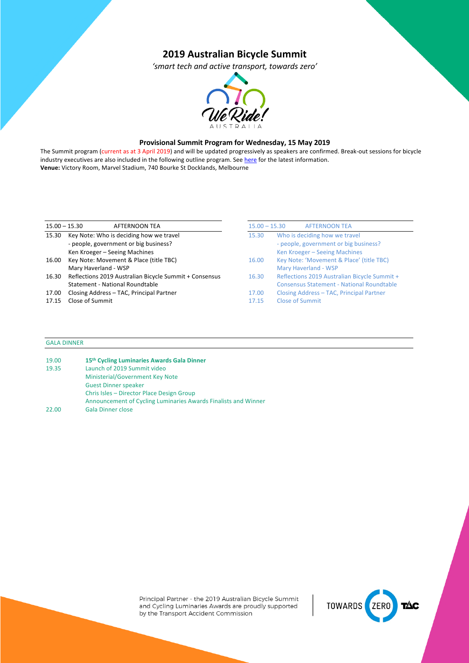# **2019 Australian Bicycle Summit**

*'smart tech and active transport, towards zero'*



## **Provisional Summit Program for Wednesday, 15 May 2019**

The Summit program (current as at 3 April 2019) and will be updated progressively as speakers are confirmed. Break-out sessions for bicycle industry executives are also included in the following outline program. See here for the latest information. **Venue:** Victory Room, Marvel Stadium, 740 Bourke St Docklands, Melbourne

| $15.00 - 15.30$ | <b>AFTERNOON TEA</b>                                   | $15.00 - 15.30$ | <b>AFTERNOON TEA</b>                             |
|-----------------|--------------------------------------------------------|-----------------|--------------------------------------------------|
| 15.30           | Key Note: Who is deciding how we travel                | 15.30           | Who is deciding how we travel                    |
|                 | - people, government or big business?                  |                 | - people, government or big business?            |
|                 | Ken Kroeger - Seeing Machines                          |                 | Ken Kroeger - Seeing Machines                    |
| 16.00           | Key Note: Movement & Place (title TBC)                 | 16.00           | Key Note: 'Movement & Place' (title TBC)         |
|                 | Mary Haverland - WSP                                   |                 | Mary Haverland - WSP                             |
| 16.30           | Reflections 2019 Australian Bicycle Summit + Consensus | 16.30           | Reflections 2019 Australian Bicycle Summit +     |
|                 | Statement - National Roundtable                        |                 | <b>Consensus Statement - National Roundtable</b> |
| 17.00           | Closing Address - TAC, Principal Partner               | 17.00           | Closing Address - TAC, Principal Partner         |
| 17.15           | Close of Summit                                        | 17.15           | <b>Close of Summit</b>                           |

## GALA DINNER

| 19.00 | 15th Cycling Luminaries Awards Gala Dinner                     |
|-------|----------------------------------------------------------------|
| 19.35 | Launch of 2019 Summit video                                    |
|       | Ministerial/Government Key Note                                |
|       | <b>Guest Dinner speaker</b>                                    |
|       | Chris Isles - Director Place Design Group                      |
|       | Announcement of Cycling Luminaries Awards Finalists and Winner |
| 22.00 | <b>Gala Dinner close</b>                                       |

Principal Partner - the 2019 Australian Bicycle Summit and Cycling Luminaries Awards are proudly supported by the Transport Accident Commission